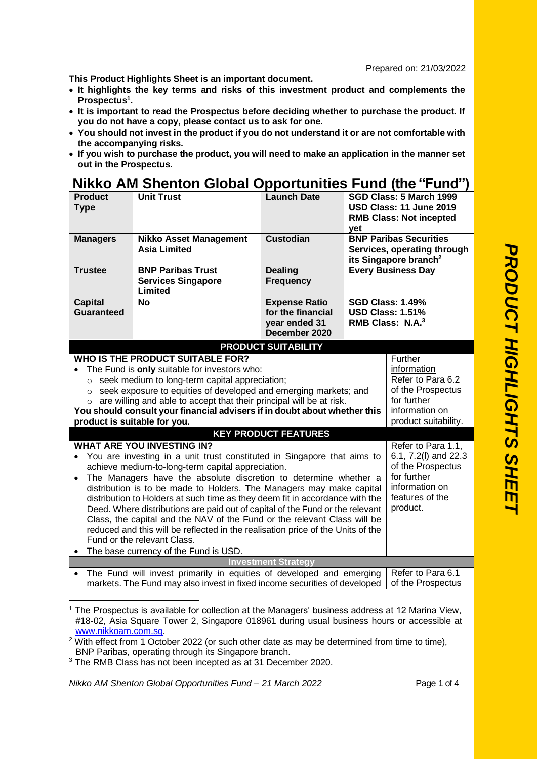**This Product Highlights Sheet is an important document.** 

- **It highlights the key terms and risks of this investment product and complements the Prospectus<sup>1</sup> .**
- **It is important to read the Prospectus before deciding whether to purchase the product. If you do not have a copy, please contact us to ask for one.**
- **You should not invest in the product if you do not understand it or are not comfortable with the accompanying risks.**
- **If you wish to purchase the product, you will need to make an application in the manner set out in the Prospectus.**

## **Nikko AM Shenton Global Opportunities Fund (the "Fund")**

| <b>Product</b><br><b>Type</b>                                                                                                                                                                                                                                                                                                                                                                                                                                                                                                                                                                                                                                                                                                                                                                                                                                                                                                                                                                                                                                                                                                                                                                                                                                                                                                                                                             | <b>Unit Trust</b>                                                         | <b>Launch Date</b>                                                          | SGD Class: 5 March 1999<br>USD Class: 11 June 2019<br><b>RMB Class: Not incepted</b><br>yet |                                                                                                   |
|-------------------------------------------------------------------------------------------------------------------------------------------------------------------------------------------------------------------------------------------------------------------------------------------------------------------------------------------------------------------------------------------------------------------------------------------------------------------------------------------------------------------------------------------------------------------------------------------------------------------------------------------------------------------------------------------------------------------------------------------------------------------------------------------------------------------------------------------------------------------------------------------------------------------------------------------------------------------------------------------------------------------------------------------------------------------------------------------------------------------------------------------------------------------------------------------------------------------------------------------------------------------------------------------------------------------------------------------------------------------------------------------|---------------------------------------------------------------------------|-----------------------------------------------------------------------------|---------------------------------------------------------------------------------------------|---------------------------------------------------------------------------------------------------|
| <b>Managers</b>                                                                                                                                                                                                                                                                                                                                                                                                                                                                                                                                                                                                                                                                                                                                                                                                                                                                                                                                                                                                                                                                                                                                                                                                                                                                                                                                                                           | <b>Nikko Asset Management</b><br><b>Asia Limited</b>                      | <b>Custodian</b>                                                            |                                                                                             | <b>BNP Paribas Securities</b><br>Services, operating through<br>its Singapore branch <sup>2</sup> |
| <b>Trustee</b>                                                                                                                                                                                                                                                                                                                                                                                                                                                                                                                                                                                                                                                                                                                                                                                                                                                                                                                                                                                                                                                                                                                                                                                                                                                                                                                                                                            | <b>BNP Paribas Trust</b><br><b>Services Singapore</b><br>Limited          | <b>Dealing</b><br><b>Frequency</b>                                          |                                                                                             | <b>Every Business Day</b>                                                                         |
| <b>Capital</b><br><b>Guaranteed</b>                                                                                                                                                                                                                                                                                                                                                                                                                                                                                                                                                                                                                                                                                                                                                                                                                                                                                                                                                                                                                                                                                                                                                                                                                                                                                                                                                       | <b>No</b>                                                                 | <b>Expense Ratio</b><br>for the financial<br>year ended 31<br>December 2020 |                                                                                             | <b>SGD Class: 1.49%</b><br><b>USD Class: 1.51%</b><br>RMB Class: $N.A.^3$                         |
|                                                                                                                                                                                                                                                                                                                                                                                                                                                                                                                                                                                                                                                                                                                                                                                                                                                                                                                                                                                                                                                                                                                                                                                                                                                                                                                                                                                           |                                                                           | <b>PRODUCT SUITABILITY</b>                                                  |                                                                                             |                                                                                                   |
| WHO IS THE PRODUCT SUITABLE FOR?<br>Further<br>information<br>The Fund is only suitable for investors who:<br>Refer to Para 6.2<br>seek medium to long-term capital appreciation;<br>$\circ$<br>of the Prospectus<br>o seek exposure to equities of developed and emerging markets; and<br>for further<br>o are willing and able to accept that their principal will be at risk.<br>You should consult your financial advisers if in doubt about whether this<br>information on<br>product suitability.<br>product is suitable for you.<br><b>KEY PRODUCT FEATURES</b><br><b>WHAT ARE YOU INVESTING IN?</b><br>Refer to Para 1.1,<br>6.1, 7.2(I) and 22.3<br>You are investing in a unit trust constituted in Singapore that aims to<br>of the Prospectus<br>achieve medium-to-long-term capital appreciation.<br>for further<br>The Managers have the absolute discretion to determine whether a<br>information on<br>distribution is to be made to Holders. The Managers may make capital<br>features of the<br>distribution to Holders at such time as they deem fit in accordance with the<br>product.<br>Deed. Where distributions are paid out of capital of the Fund or the relevant<br>Class, the capital and the NAV of the Fund or the relevant Class will be<br>reduced and this will be reflected in the realisation price of the Units of the<br>Fund or the relevant Class. |                                                                           |                                                                             |                                                                                             |                                                                                                   |
| $\bullet$                                                                                                                                                                                                                                                                                                                                                                                                                                                                                                                                                                                                                                                                                                                                                                                                                                                                                                                                                                                                                                                                                                                                                                                                                                                                                                                                                                                 | The base currency of the Fund is USD.                                     |                                                                             |                                                                                             |                                                                                                   |
|                                                                                                                                                                                                                                                                                                                                                                                                                                                                                                                                                                                                                                                                                                                                                                                                                                                                                                                                                                                                                                                                                                                                                                                                                                                                                                                                                                                           | The Fund will invest primarily in equities of developed and emerging      | <b>Investment Strategy</b>                                                  |                                                                                             | Refer to Para 6.1                                                                                 |
|                                                                                                                                                                                                                                                                                                                                                                                                                                                                                                                                                                                                                                                                                                                                                                                                                                                                                                                                                                                                                                                                                                                                                                                                                                                                                                                                                                                           | markets. The Fund may also invest in fixed income securities of developed |                                                                             |                                                                                             | of the Prospectus                                                                                 |

<sup>1</sup> The Prospectus is available for collection at the Managers' business address at 12 Marina View, #18-02, Asia Square Tower 2, Singapore 018961 during usual business hours or accessible at [www.nikkoam.com.sg.](file:///C:/Users/a22484/AppData/Local/Microsoft/Windows/Temporary%20Internet%20Files/Content.Outlook/M5MJUUZG/www.nikkoam.com.sg)

<sup>3</sup> The RMB Class has not been incepted as at 31 December 2020.

*Nikko AM Shenton Global Opportunities Fund – 21 March 2022* Page 1 of 4

 $2$  With effect from 1 October 2022 (or such other date as may be determined from time to time), BNP Paribas, operating through its Singapore branch.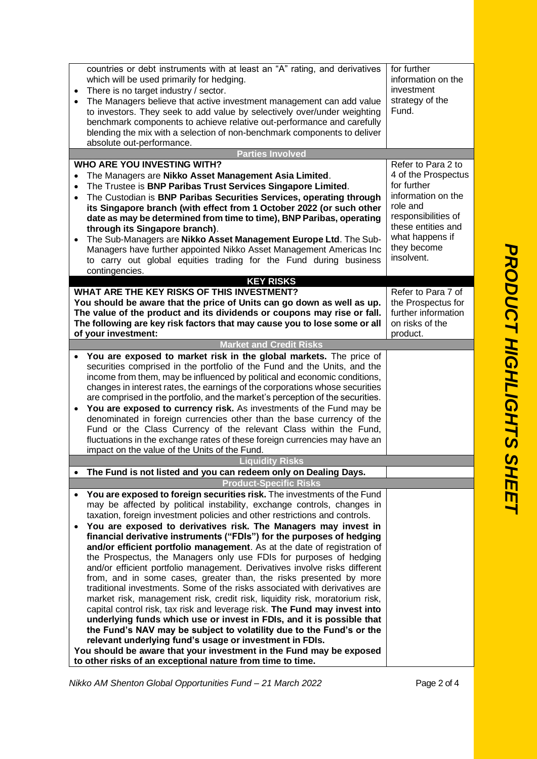|           | countries or debt instruments with at least an "A" rating, and derivatives<br>which will be used primarily for hedging.<br>There is no target industry / sector.<br>The Managers believe that active investment management can add value<br>to investors. They seek to add value by selectively over/under weighting<br>benchmark components to achieve relative out-performance and carefully<br>blending the mix with a selection of non-benchmark components to deliver<br>absolute out-performance. | for further<br>information on the<br>investment<br>strategy of the<br>Fund. |
|-----------|---------------------------------------------------------------------------------------------------------------------------------------------------------------------------------------------------------------------------------------------------------------------------------------------------------------------------------------------------------------------------------------------------------------------------------------------------------------------------------------------------------|-----------------------------------------------------------------------------|
|           | <b>Parties Involved</b>                                                                                                                                                                                                                                                                                                                                                                                                                                                                                 |                                                                             |
|           | <b>WHO ARE YOU INVESTING WITH?</b>                                                                                                                                                                                                                                                                                                                                                                                                                                                                      | Refer to Para 2 to                                                          |
|           | The Managers are Nikko Asset Management Asia Limited.                                                                                                                                                                                                                                                                                                                                                                                                                                                   | 4 of the Prospectus                                                         |
|           | The Trustee is BNP Paribas Trust Services Singapore Limited.                                                                                                                                                                                                                                                                                                                                                                                                                                            | for further                                                                 |
| $\bullet$ | The Custodian is BNP Paribas Securities Services, operating through                                                                                                                                                                                                                                                                                                                                                                                                                                     | information on the                                                          |
|           | its Singapore branch (with effect from 1 October 2022 (or such other                                                                                                                                                                                                                                                                                                                                                                                                                                    | role and                                                                    |
|           | date as may be determined from time to time), BNP Paribas, operating                                                                                                                                                                                                                                                                                                                                                                                                                                    | responsibilities of                                                         |
|           | through its Singapore branch).                                                                                                                                                                                                                                                                                                                                                                                                                                                                          | these entities and                                                          |
| $\bullet$ | The Sub-Managers are Nikko Asset Management Europe Ltd. The Sub-                                                                                                                                                                                                                                                                                                                                                                                                                                        | what happens if                                                             |
|           | Managers have further appointed Nikko Asset Management Americas Inc                                                                                                                                                                                                                                                                                                                                                                                                                                     | they become<br>insolvent.                                                   |
|           | to carry out global equities trading for the Fund during business                                                                                                                                                                                                                                                                                                                                                                                                                                       |                                                                             |
|           | contingencies.                                                                                                                                                                                                                                                                                                                                                                                                                                                                                          |                                                                             |
|           | <b>KEY RISKS</b><br>WHAT ARE THE KEY RISKS OF THIS INVESTMENT?                                                                                                                                                                                                                                                                                                                                                                                                                                          | Refer to Para 7 of                                                          |
|           | You should be aware that the price of Units can go down as well as up.                                                                                                                                                                                                                                                                                                                                                                                                                                  | the Prospectus for                                                          |
|           | The value of the product and its dividends or coupons may rise or fall.                                                                                                                                                                                                                                                                                                                                                                                                                                 | further information                                                         |
|           | The following are key risk factors that may cause you to lose some or all                                                                                                                                                                                                                                                                                                                                                                                                                               | on risks of the                                                             |
|           | of your investment:                                                                                                                                                                                                                                                                                                                                                                                                                                                                                     | product.                                                                    |
|           | <b>Market and Credit Risks</b>                                                                                                                                                                                                                                                                                                                                                                                                                                                                          |                                                                             |
| $\bullet$ | You are exposed to market risk in the global markets. The price of                                                                                                                                                                                                                                                                                                                                                                                                                                      |                                                                             |
|           | securities comprised in the portfolio of the Fund and the Units, and the                                                                                                                                                                                                                                                                                                                                                                                                                                |                                                                             |
|           | income from them, may be influenced by political and economic conditions,                                                                                                                                                                                                                                                                                                                                                                                                                               |                                                                             |
|           | changes in interest rates, the earnings of the corporations whose securities                                                                                                                                                                                                                                                                                                                                                                                                                            |                                                                             |
|           | are comprised in the portfolio, and the market's perception of the securities.                                                                                                                                                                                                                                                                                                                                                                                                                          |                                                                             |
| $\bullet$ | You are exposed to currency risk. As investments of the Fund may be                                                                                                                                                                                                                                                                                                                                                                                                                                     |                                                                             |
|           | denominated in foreign currencies other than the base currency of the                                                                                                                                                                                                                                                                                                                                                                                                                                   |                                                                             |
|           | Fund or the Class Currency of the relevant Class within the Fund,                                                                                                                                                                                                                                                                                                                                                                                                                                       |                                                                             |
|           | fluctuations in the exchange rates of these foreign currencies may have an                                                                                                                                                                                                                                                                                                                                                                                                                              |                                                                             |
|           | impact on the value of the Units of the Fund.<br><b>Liquidity Risks</b>                                                                                                                                                                                                                                                                                                                                                                                                                                 |                                                                             |
|           |                                                                                                                                                                                                                                                                                                                                                                                                                                                                                                         |                                                                             |
|           | The Fund is not listed and you can redeem only on Dealing Days.                                                                                                                                                                                                                                                                                                                                                                                                                                         |                                                                             |
|           | <b>Product-Specific Risks</b>                                                                                                                                                                                                                                                                                                                                                                                                                                                                           |                                                                             |
|           | You are exposed to foreign securities risk. The investments of the Fund<br>may be affected by political instability, exchange controls, changes in                                                                                                                                                                                                                                                                                                                                                      |                                                                             |
|           | taxation, foreign investment policies and other restrictions and controls.                                                                                                                                                                                                                                                                                                                                                                                                                              |                                                                             |
|           | You are exposed to derivatives risk. The Managers may invest in                                                                                                                                                                                                                                                                                                                                                                                                                                         |                                                                             |
|           | financial derivative instruments ("FDIs") for the purposes of hedging                                                                                                                                                                                                                                                                                                                                                                                                                                   |                                                                             |
|           | and/or efficient portfolio management. As at the date of registration of                                                                                                                                                                                                                                                                                                                                                                                                                                |                                                                             |
|           | the Prospectus, the Managers only use FDIs for purposes of hedging                                                                                                                                                                                                                                                                                                                                                                                                                                      |                                                                             |
|           | and/or efficient portfolio management. Derivatives involve risks different                                                                                                                                                                                                                                                                                                                                                                                                                              |                                                                             |
|           | from, and in some cases, greater than, the risks presented by more                                                                                                                                                                                                                                                                                                                                                                                                                                      |                                                                             |
|           | traditional investments. Some of the risks associated with derivatives are                                                                                                                                                                                                                                                                                                                                                                                                                              |                                                                             |
|           | market risk, management risk, credit risk, liquidity risk, moratorium risk,                                                                                                                                                                                                                                                                                                                                                                                                                             |                                                                             |
|           | capital control risk, tax risk and leverage risk. The Fund may invest into                                                                                                                                                                                                                                                                                                                                                                                                                              |                                                                             |
|           | underlying funds which use or invest in FDIs, and it is possible that                                                                                                                                                                                                                                                                                                                                                                                                                                   |                                                                             |
|           | the Fund's NAV may be subject to volatility due to the Fund's or the                                                                                                                                                                                                                                                                                                                                                                                                                                    |                                                                             |
|           | relevant underlying fund's usage or investment in FDIs.                                                                                                                                                                                                                                                                                                                                                                                                                                                 |                                                                             |
|           | You should be aware that your investment in the Fund may be exposed                                                                                                                                                                                                                                                                                                                                                                                                                                     |                                                                             |
|           | to other risks of an exceptional nature from time to time.                                                                                                                                                                                                                                                                                                                                                                                                                                              |                                                                             |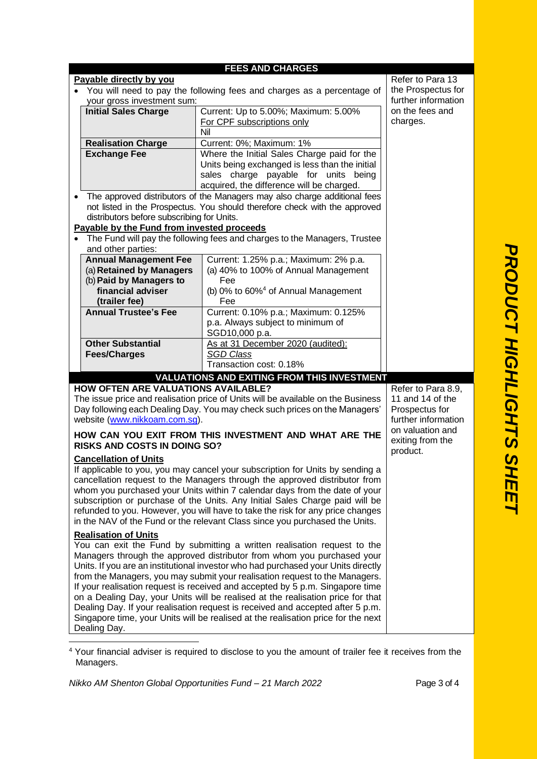|                                             | <b>FEES AND CHARGES</b>                                                                              |                                                                                                                                                             |                             |  |  |
|---------------------------------------------|------------------------------------------------------------------------------------------------------|-------------------------------------------------------------------------------------------------------------------------------------------------------------|-----------------------------|--|--|
| Refer to Para 13<br>Payable directly by you |                                                                                                      |                                                                                                                                                             |                             |  |  |
|                                             | You will need to pay the following fees and charges as a percentage of<br>your gross investment sum: | the Prospectus for<br>further information                                                                                                                   |                             |  |  |
|                                             | <b>Initial Sales Charge</b>                                                                          | Current: Up to 5.00%; Maximum: 5.00%                                                                                                                        |                             |  |  |
|                                             |                                                                                                      | For CPF subscriptions only                                                                                                                                  | on the fees and<br>charges. |  |  |
|                                             |                                                                                                      | Nil                                                                                                                                                         |                             |  |  |
|                                             | <b>Realisation Charge</b>                                                                            | Current: 0%; Maximum: 1%                                                                                                                                    |                             |  |  |
|                                             | <b>Exchange Fee</b>                                                                                  | Where the Initial Sales Charge paid for the                                                                                                                 |                             |  |  |
|                                             |                                                                                                      | Units being exchanged is less than the initial                                                                                                              |                             |  |  |
|                                             |                                                                                                      | sales charge payable for units being                                                                                                                        |                             |  |  |
|                                             |                                                                                                      | acquired, the difference will be charged.                                                                                                                   |                             |  |  |
|                                             |                                                                                                      | The approved distributors of the Managers may also charge additional fees                                                                                   |                             |  |  |
|                                             |                                                                                                      | not listed in the Prospectus. You should therefore check with the approved                                                                                  |                             |  |  |
|                                             | distributors before subscribing for Units.                                                           |                                                                                                                                                             |                             |  |  |
|                                             | Payable by the Fund from invested proceeds                                                           |                                                                                                                                                             |                             |  |  |
|                                             |                                                                                                      | The Fund will pay the following fees and charges to the Managers, Trustee                                                                                   |                             |  |  |
|                                             | and other parties:                                                                                   |                                                                                                                                                             |                             |  |  |
|                                             | <b>Annual Management Fee</b>                                                                         | Current: 1.25% p.a.; Maximum: 2% p.a.                                                                                                                       |                             |  |  |
|                                             | (a) Retained by Managers<br>(b) Paid by Managers to                                                  | (a) 40% to 100% of Annual Management<br>Fee                                                                                                                 |                             |  |  |
|                                             | financial adviser                                                                                    | (b) 0% to 60% <sup>4</sup> of Annual Management                                                                                                             |                             |  |  |
|                                             | (trailer fee)                                                                                        | Fee                                                                                                                                                         |                             |  |  |
|                                             | <b>Annual Trustee's Fee</b>                                                                          | Current: 0.10% p.a.; Maximum: 0.125%                                                                                                                        |                             |  |  |
|                                             |                                                                                                      | p.a. Always subject to minimum of                                                                                                                           |                             |  |  |
|                                             |                                                                                                      | SGD10,000 p.a.                                                                                                                                              |                             |  |  |
|                                             | <b>Other Substantial</b>                                                                             | As at 31 December 2020 (audited):                                                                                                                           |                             |  |  |
|                                             |                                                                                                      |                                                                                                                                                             |                             |  |  |
|                                             | <b>Fees/Charges</b>                                                                                  | <b>SGD Class</b>                                                                                                                                            |                             |  |  |
|                                             |                                                                                                      | Transaction cost: 0.18%                                                                                                                                     |                             |  |  |
|                                             |                                                                                                      | <b>VALUATIONS AND EXITING FROM THIS INVESTMENT</b>                                                                                                          |                             |  |  |
|                                             | <b>HOW OFTEN ARE VALUATIONS AVAILABLE?</b>                                                           |                                                                                                                                                             | Refer to Para 8.9,          |  |  |
|                                             |                                                                                                      | The issue price and realisation price of Units will be available on the Business                                                                            | 11 and 14 of the            |  |  |
|                                             |                                                                                                      | Day following each Dealing Day. You may check such prices on the Managers'                                                                                  | Prospectus for              |  |  |
|                                             | website (www.nikkoam.com.sg).                                                                        |                                                                                                                                                             | further information         |  |  |
|                                             |                                                                                                      | HOW CAN YOU EXIT FROM THIS INVESTMENT AND WHAT ARE THE                                                                                                      | on valuation and            |  |  |
|                                             | <b>RISKS AND COSTS IN DOING SO?</b>                                                                  |                                                                                                                                                             | exiting from the            |  |  |
|                                             |                                                                                                      |                                                                                                                                                             | product.                    |  |  |
|                                             | <b>Cancellation of Units</b>                                                                         |                                                                                                                                                             |                             |  |  |
|                                             |                                                                                                      | If applicable to you, you may cancel your subscription for Units by sending a<br>cancellation request to the Managers through the approved distributor from |                             |  |  |
|                                             |                                                                                                      | whom you purchased your Units within 7 calendar days from the date of your                                                                                  |                             |  |  |
|                                             |                                                                                                      | subscription or purchase of the Units. Any Initial Sales Charge paid will be                                                                                |                             |  |  |
|                                             |                                                                                                      | refunded to you. However, you will have to take the risk for any price changes                                                                              |                             |  |  |
|                                             |                                                                                                      | in the NAV of the Fund or the relevant Class since you purchased the Units.                                                                                 |                             |  |  |
|                                             | <b>Realisation of Units</b>                                                                          |                                                                                                                                                             |                             |  |  |
|                                             |                                                                                                      | You can exit the Fund by submitting a written realisation request to the                                                                                    |                             |  |  |
|                                             |                                                                                                      | Managers through the approved distributor from whom you purchased your                                                                                      |                             |  |  |
|                                             |                                                                                                      | Units. If you are an institutional investor who had purchased your Units directly                                                                           |                             |  |  |
|                                             |                                                                                                      | from the Managers, you may submit your realisation request to the Managers.                                                                                 |                             |  |  |
|                                             |                                                                                                      | If your realisation request is received and accepted by 5 p.m. Singapore time                                                                               |                             |  |  |
|                                             |                                                                                                      | on a Dealing Day, your Units will be realised at the realisation price for that                                                                             |                             |  |  |
|                                             |                                                                                                      | Dealing Day. If your realisation request is received and accepted after 5 p.m.                                                                              |                             |  |  |
|                                             | Dealing Day.                                                                                         | Singapore time, your Units will be realised at the realisation price for the next                                                                           |                             |  |  |

<sup>4</sup> Your financial adviser is required to disclose to you the amount of trailer fee it receives from the Managers.

*Nikko AM Shenton Global Opportunities Fund – 21 March 2022* Page 3 of 4